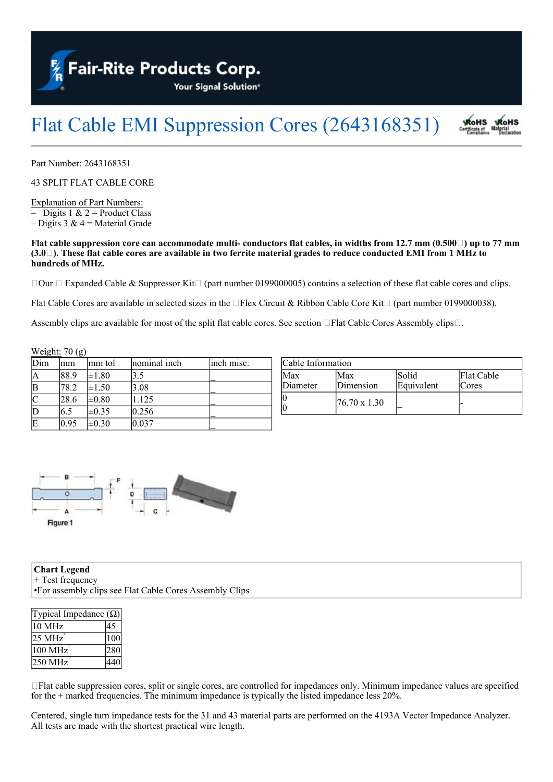**Fair-Rite Products Corp.** 

Your Signal Solution®

## Flat Cable EMI Suppression Cores (2643168351) **RoHS RoHS**

Part Number: 2643168351

43 SPLIT FLAT CABLE CORE

Explanation of Part Numbers: – Digits 1  $& 2$  = Product Class – Digits 3  $& 4$  = Material Grade

## Flat cable suppression core can accommodate multi-conductors flat cables, in widths from 12.7 mm  $(0.500\Box)$  up to 77 mm  $(3.0\Box)$ . These flat cable cores are available in two ferrite material grades to reduce conducted EMI from 1 MHz to **hundreds of MHz.**

 $\Box$ Our  $\Box$  Expanded Cable & Suppressor Kit $\Box$  (part number 0199000005) contains a selection of these flat cable cores and clips.

Flat Cable Cores are available in selected sizes in the  $\Box$ Flex Circuit & Ribbon Cable Core Kit $\Box$  (part number 0199000038).

Assembly clips are available for most of the split flat cable cores. See section  $\Box$  Flat Cable Cores Assembly clips.  $\Box$ .

|     | Weight: $70$ (g) |            |              |            |
|-----|------------------|------------|--------------|------------|
| Dim | mm               | lmm tol    | nominal inch | inch misc. |
| Α   | 88.9             | $\pm 1.80$ | 3.5          |            |
| B   | 78.2             | $\pm 1.50$ | 3.08         |            |
|     | 28.6             | $\pm 0.80$ | 1.125        |            |
| D   | 6.5              | $\pm 0.35$ | 0.256        |            |
| E   | 0.95             | $\pm 0.30$ | 0.037        |            |

| Cable Information |                      |                     |                     |  |  |  |
|-------------------|----------------------|---------------------|---------------------|--|--|--|
| Max<br>Diameter   | Max<br>Dimension     | Solid<br>Equivalent | Flat Cable<br>Cores |  |  |  |
| Ю<br>IC           | $176.70 \times 1.30$ |                     |                     |  |  |  |



**Chart Legend** + Test frequency •For assembly clips see Flat Cable Cores Assembly Clips

| Typical Impedance $(\Omega)$ |                  |
|------------------------------|------------------|
| 10 MHz                       |                  |
| 25 MHz                       | $\overline{1}00$ |
| 100 MHz                      | 280              |
| $250$ MHz                    |                  |

 $\Box$  Flat cable suppression cores, split or single cores, are controlled for impedances only. Minimum impedance values are specified for the + marked frequencies. The minimum impedance is typically the listed impedance less 20%.

Centered, single turn impedance tests for the 31 and 43 material parts are performed on the 4193A Vector Impedance Analyzer. All tests are made with the shortest practical wire length.